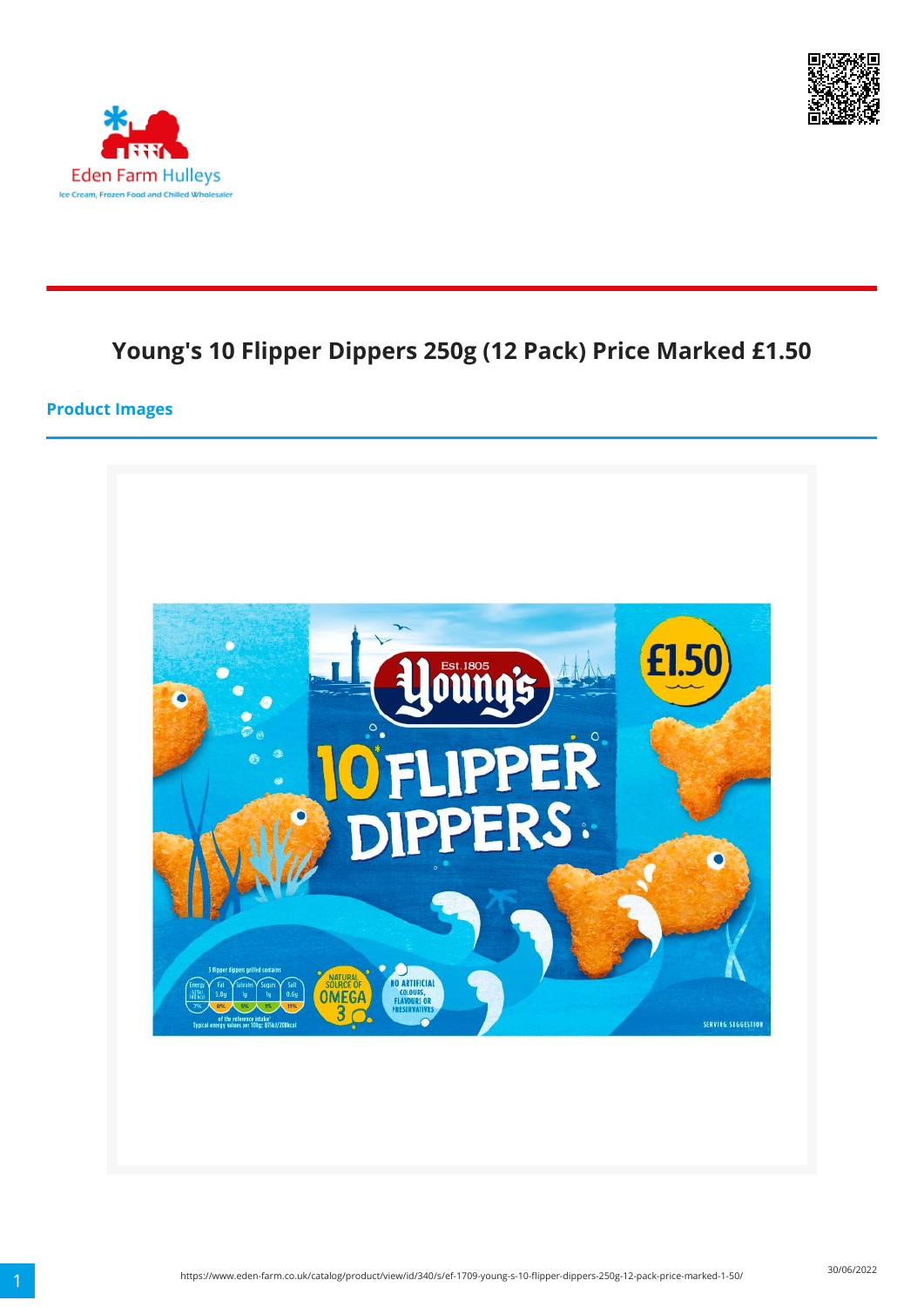



# **Young's 10 Flipper Dippers 250g (12 Pack) Price Marked £1.50**

#### **Product Images**

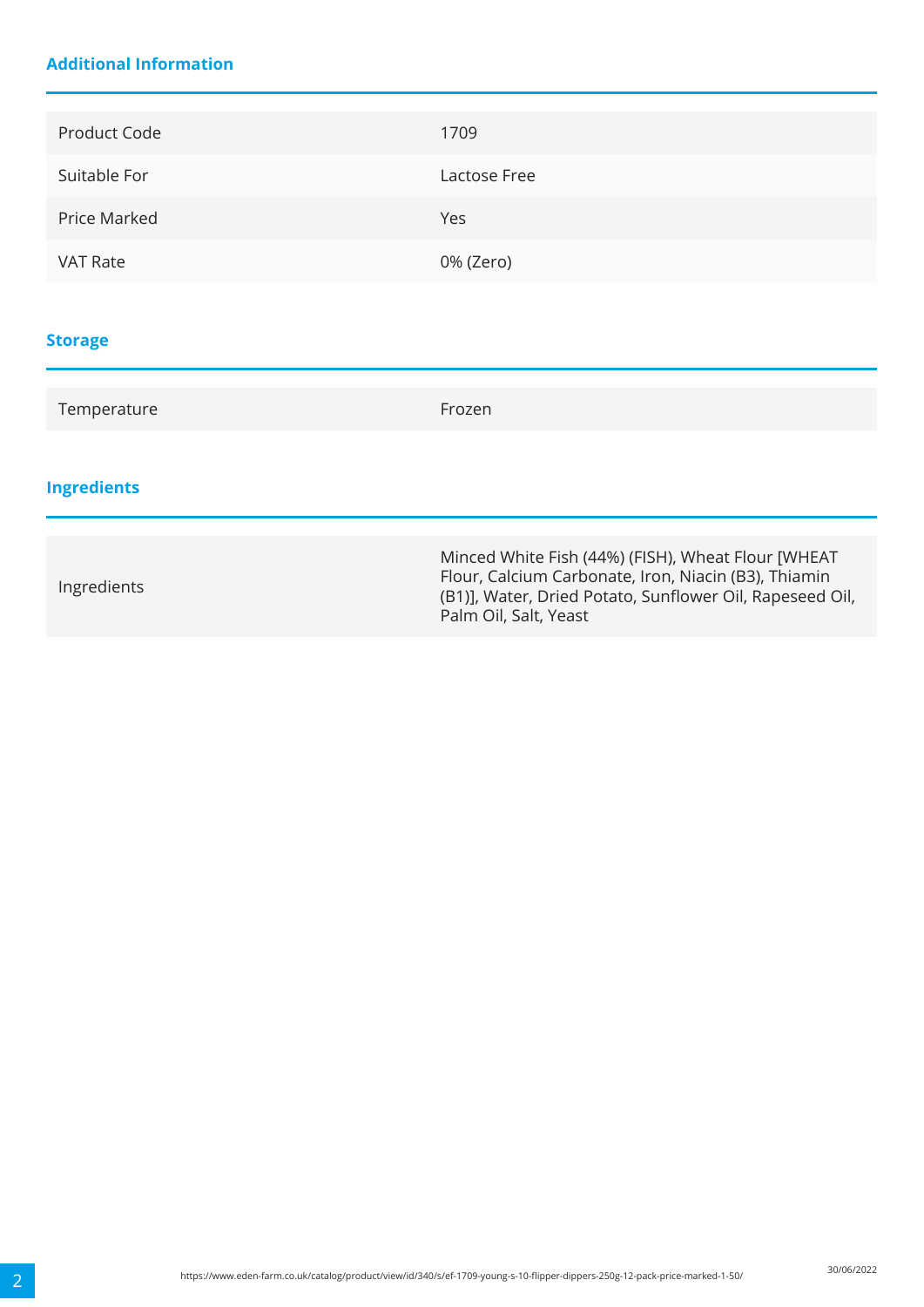### **Additional Information**

| Product Code    | 1709         |
|-----------------|--------------|
| Suitable For    | Lactose Free |
| Price Marked    | Yes          |
| <b>VAT Rate</b> | 0% (Zero)    |
|                 |              |
| <b>Storage</b>  |              |
| Temperature     | Frozen       |

# **Ingredients**

| Ingredients | Minced White Fish (44%) (FISH), Wheat Flour [WHEAT<br>Flour, Calcium Carbonate, Iron, Niacin (B3), Thiamin<br>(B1)], Water, Dried Potato, Sunflower Oil, Rapeseed Oil,<br>Palm Oil, Salt, Yeast |
|-------------|-------------------------------------------------------------------------------------------------------------------------------------------------------------------------------------------------|
|-------------|-------------------------------------------------------------------------------------------------------------------------------------------------------------------------------------------------|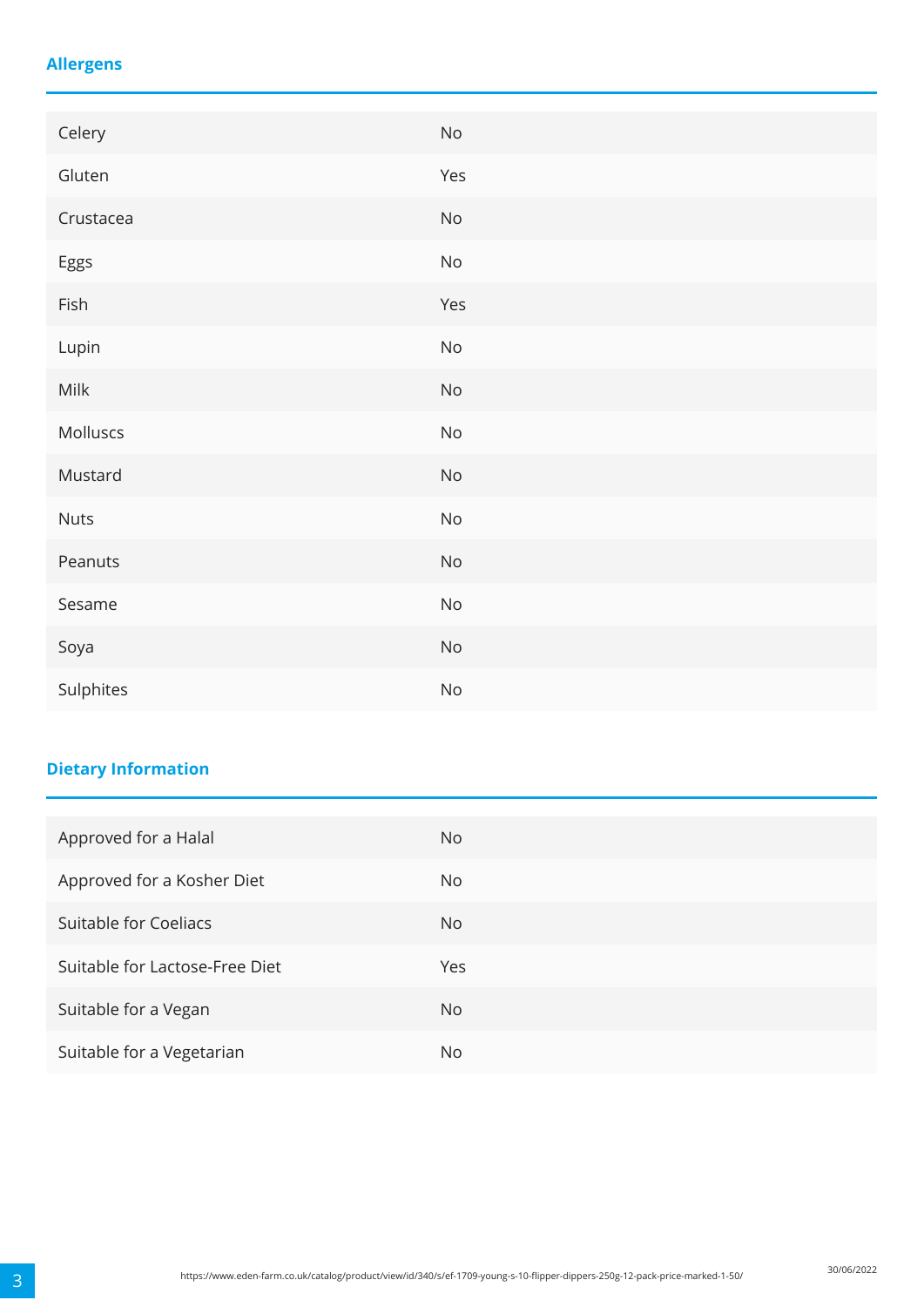### **Allergens**

| Celery    | $\mathsf{No}$                |
|-----------|------------------------------|
| Gluten    | Yes                          |
| Crustacea | $\mathsf{No}$                |
| Eggs      | No                           |
| Fish      | Yes                          |
| Lupin     | $\mathsf{No}$                |
| Milk      | $\mathsf{No}$                |
| Molluscs  | $\mathsf{No}$                |
| Mustard   | $\mathsf{No}$                |
| Nuts      | $\mathsf{No}$                |
| Peanuts   | $\operatorname{\mathsf{No}}$ |
| Sesame    | $\operatorname{\mathsf{No}}$ |
| Soya      | $\operatorname{\mathsf{No}}$ |
| Sulphites | $\mathsf{No}$                |

# **Dietary Information**

| Approved for a Halal           | No. |
|--------------------------------|-----|
| Approved for a Kosher Diet     | No. |
| Suitable for Coeliacs          | No. |
| Suitable for Lactose-Free Diet | Yes |
| Suitable for a Vegan           | No. |
| Suitable for a Vegetarian      | No. |